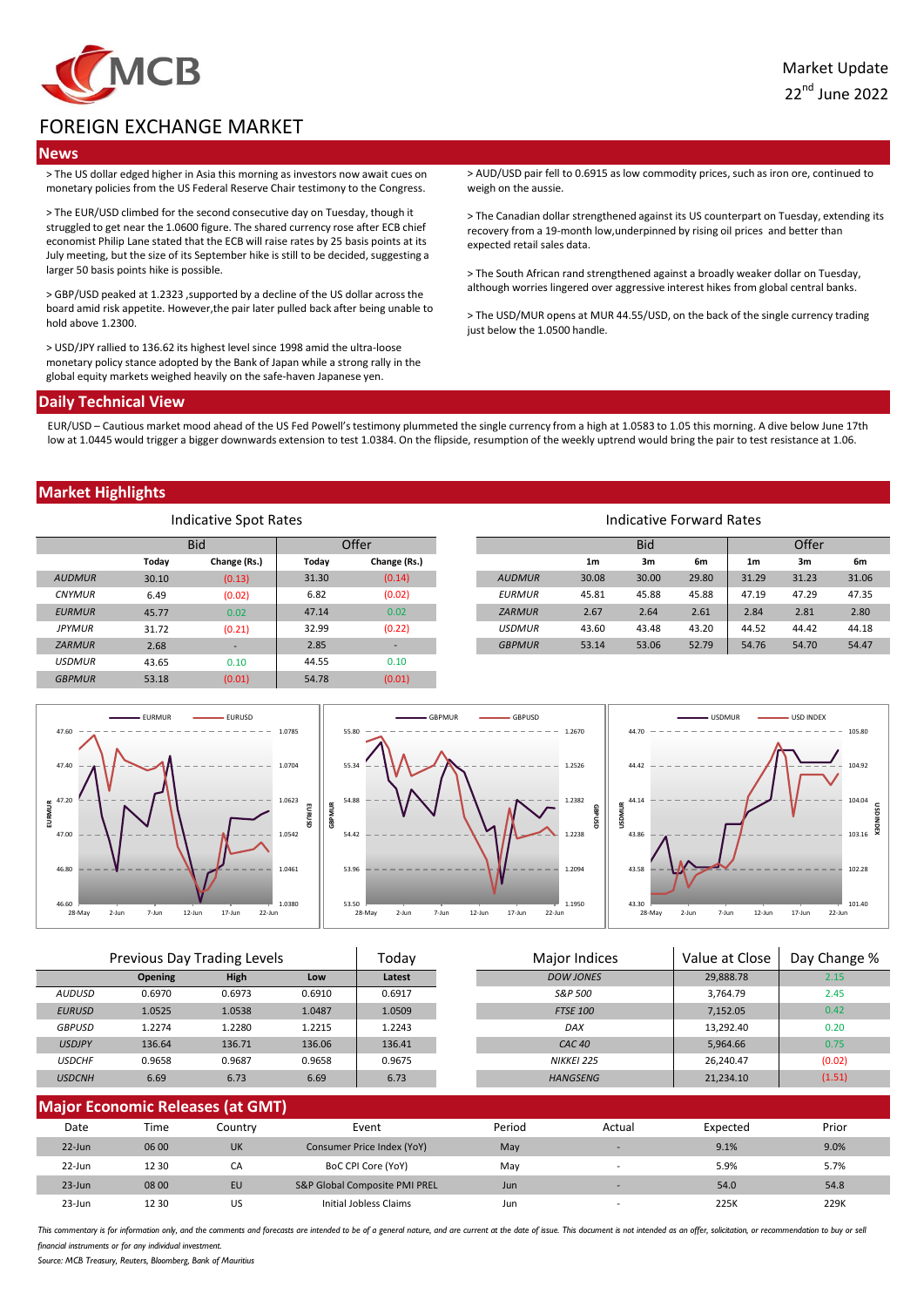

# FOREIGN EXCHANGE MARKET

## **News**

> The US dollar edged higher in Asia this morning as investors now await cues on monetary policies from the US Federal Reserve Chair testimony to the Congress.

> The EUR/USD climbed for the second consecutive day on Tuesday, though it struggled to get near the 1.0600 figure. The shared currency rose after ECB chief economist Philip Lane stated that the ECB will raise rates by 25 basis points at its July meeting, but the size of its September hike is still to be decided, suggesting a larger 50 basis points hike is possible.

> GBP/USD peaked at 1.2323 ,supported by a decline of the US dollar across the board amid risk appetite. However,the pair later pulled back after being unable to hold above 1.2300.

> USD/JPY rallied to 136.62 its highest level since 1998 amid the ultra-loose monetary policy stance adopted by the Bank of Japan while a strong rally in the global equity markets weighed heavily on the safe-haven Japanese yen.

> AUD/USD pair fell to 0.6915 as low commodity prices, such as iron ore, continued to weigh on the aussie.

> The Canadian dollar strengthened against its US counterpart on Tuesday, extending its recovery from a 19-month low,underpinned by rising oil prices and better than expected retail sales data.

> The South African rand strengthened against a broadly weaker dollar on Tuesday, although worries lingered over aggressive interest hikes from global central banks.

> The USD/MUR opens at MUR 44.55/USD, on the back of the single currency trading just below the 1.0500 handle.

#### **Daily Technical View**

EUR/USD – Cautious market mood ahead of the US Fed Powell's testimony plummeted the single currency from a high at 1.0583 to 1.05 this morning. A dive below June 17th low at 1.0445 would trigger a bigger downwards extension to test 1.0384. On the flipside, resumption of the weekly uptrend would bring the pair to test resistance at 1.06.

### **Market Highlights**

| Indicative Spot Rates |            |              |       |              | Indicative Forward Rates |                |       |       |                |       |       |
|-----------------------|------------|--------------|-------|--------------|--------------------------|----------------|-------|-------|----------------|-------|-------|
|                       | <b>Bid</b> |              | Offer |              |                          | <b>Bid</b>     |       | Offer |                |       |       |
|                       | Today      | Change (Rs.) | Today | Change (Rs.) |                          | 1 <sub>m</sub> | 3m    | 6m    | 1 <sub>m</sub> | 3m    | 6m    |
| <b>AUDMUR</b>         | 30.10      | (0.13)       | 31.30 | (0.14)       | <b>AUDMUR</b>            | 30.08          | 30.00 | 29.80 | 31.29          | 31.23 | 31.06 |
| <b>CNYMUR</b>         | 6.49       | (0.02)       | 6.82  | (0.02)       | <b>EURMUR</b>            | 45.81          | 45.88 | 45.88 | 47.19          | 47.29 | 47.35 |
| <b>EURMUR</b>         | 45.77      | 0.02         | 47.14 | 0.02         | <b>ZARMUR</b>            | 2.67           | 2.64  | 2.61  | 2.84           | 2.81  | 2.80  |
| <b>JPYMUR</b>         | 31.72      | (0.21)       | 32.99 | (0.22)       | <b>USDMUR</b>            | 43.60          | 43.48 | 43.20 | 44.52          | 44.42 | 44.18 |
| <b>ZARMUR</b>         | 2.68       |              | 2.85  | ۰.           | <b>GBPMUR</b>            | 53.14          | 53.06 | 52.79 | 54.76          | 54.70 | 54.47 |
| <b>USDMUR</b>         | 43.65      | 0.10         | 44.55 | 0.10         |                          |                |       |       |                |       |       |
| <b>GBPMUR</b>         | 53.18      | (0.01)       | 54.78 | (0.01)       |                          |                |       |       |                |       |       |



| Previous Day Trading Levels |                |        |        | Todav  | Major Indices     | Value at Close | Day Change % |
|-----------------------------|----------------|--------|--------|--------|-------------------|----------------|--------------|
|                             | <b>Opening</b> | High   | Low    | Latest | <b>DOW JONES</b>  | 29,888.78      | 2.15         |
| <b>AUDUSD</b>               | 0.6970         | 0.6973 | 0.6910 | 0.6917 | S&P 500           | 3,764.79       | 2.45         |
| <b>EURUSD</b>               | 1.0525         | 1.0538 | 1.0487 | 1.0509 | <b>FTSE 100</b>   | 7.152.05       | 0.42         |
| <b>GBPUSD</b>               | 1.2274         | 1.2280 | 1.2215 | 1.2243 | DAX               | 13,292.40      | 0.20         |
| <b>USDJPY</b>               | 136.64         | 136.71 | 136.06 | 136.41 | CAC <sub>40</sub> | 5.964.66       | 0.75         |
| <b>USDCHF</b>               | 0.9658         | 0.9687 | 0.9658 | 0.9675 | NIKKEI 225        | 26.240.47      | (0.02)       |
| <b>USDCNH</b>               | 6.69           | 6.73   | 6.69   | 6.73   | <b>HANGSENG</b>   | 21,234.10      | (1.51)       |
|                             |                |        |        |        |                   |                |              |

| <b>Major Economic Releases (at GMT)</b> |       |           |                               |        |                          |          |       |  |
|-----------------------------------------|-------|-----------|-------------------------------|--------|--------------------------|----------|-------|--|
| Date                                    | Time  | Countrv   | Event                         | Period | Actual                   | Expected | Prior |  |
| $22$ -Jun                               | 06 00 | <b>UK</b> | Consumer Price Index (YoY)    | May    |                          | 9.1%     | 9.0%  |  |
| 22-Jun                                  | 12 30 | CA        | BoC CPI Core (YoY)            | Mav    | $\overline{\phantom{a}}$ | 5.9%     | 5.7%  |  |
| $23 - Jun$                              | 08 00 | EU        | S&P Global Composite PMI PREL | Jun    |                          | 54.0     | 54.8  |  |
| $23 - Jun$                              | 12 30 | US        | Initial Jobless Claims        | Jun    |                          | 225K     | 229K  |  |

This commentary is for information only, and the comments and forecasts are intended to be of a general nature, and are current at the date of issue. This document is not intended as an offer, solicitation, or recommendati *financial instruments or for any individual investment.*

*Source: MCB Treasury, Reuters, Bloomberg, Bank of Mauritius*